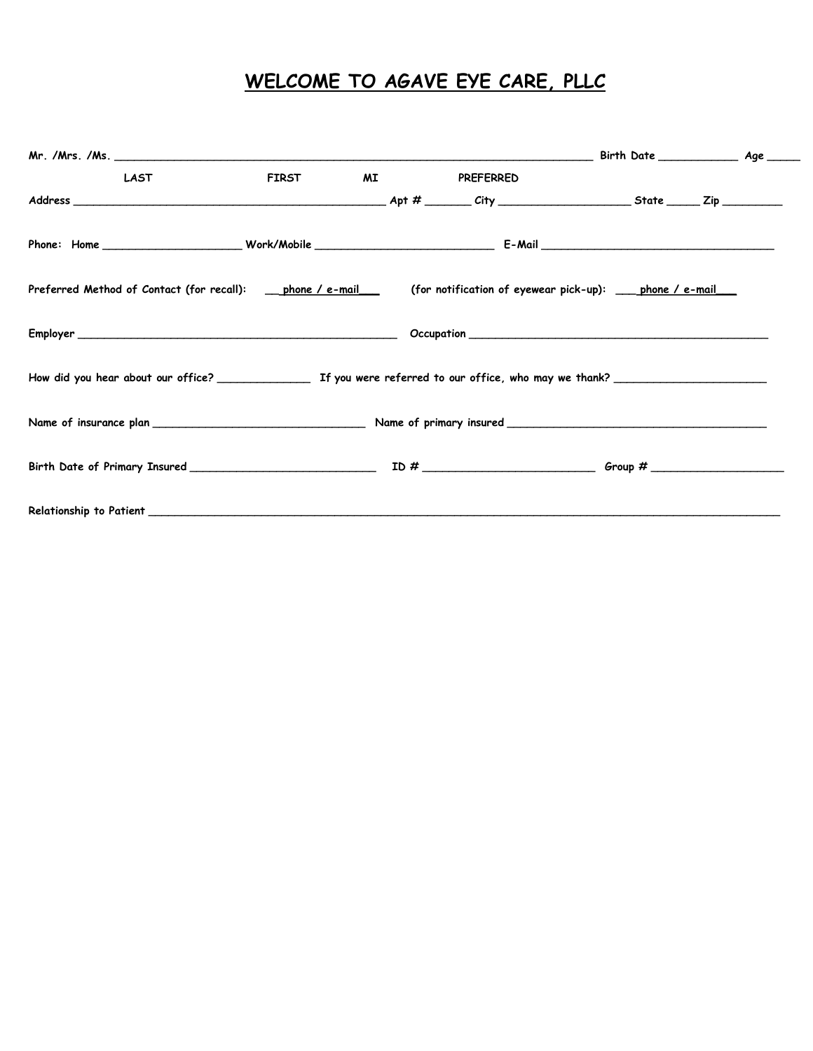# WELCOME TO AGAVE EYE CARE, PLLC

| LAST | <b>FIRST</b> | MI PREFERRED |  |  |
|------|--------------|--------------|--|--|
|      |              |              |  |  |
|      |              |              |  |  |
|      |              |              |  |  |
|      |              |              |  |  |
|      |              |              |  |  |
|      |              |              |  |  |
|      |              |              |  |  |
|      |              |              |  |  |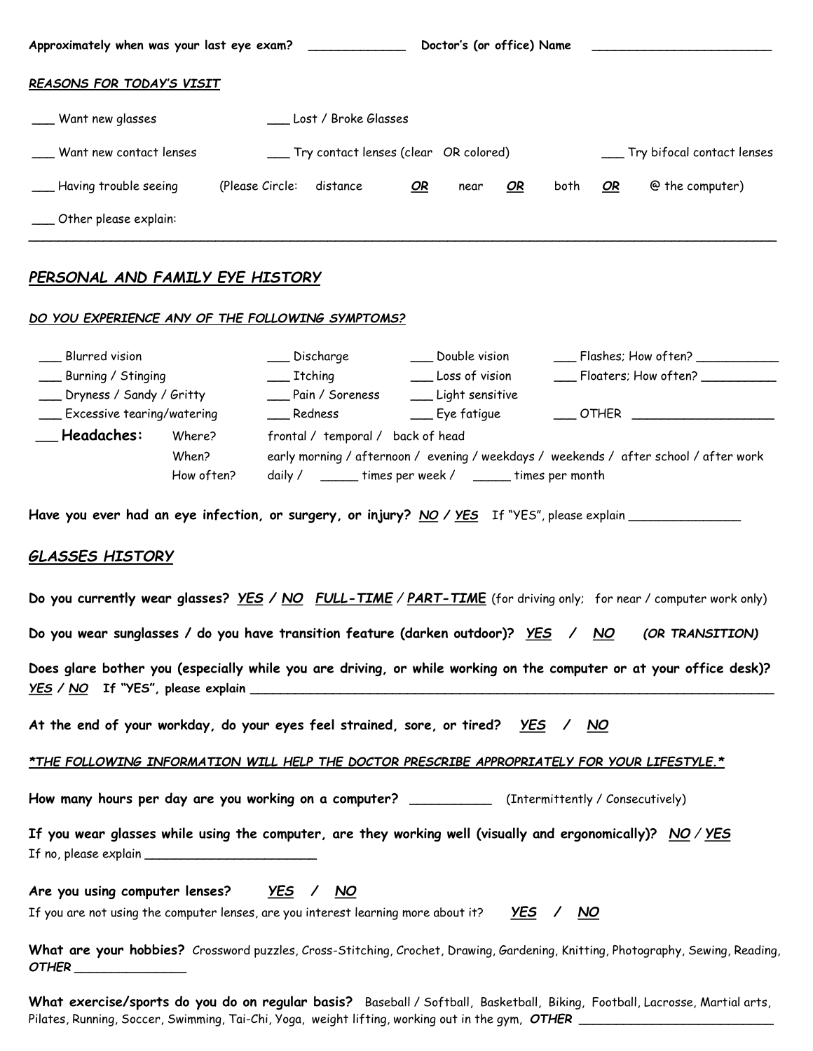| Approximately when was your last eye exam? |                 |                                           |    | Doctor's (or office) Name |    |      |    |                                |
|--------------------------------------------|-----------------|-------------------------------------------|----|---------------------------|----|------|----|--------------------------------|
| REASONS FOR TODAY'S VISIT                  |                 |                                           |    |                           |    |      |    |                                |
| Want new glasses                           |                 | Lost / Broke Glasses                      |    |                           |    |      |    |                                |
| Want new contact lenses                    |                 | ___ Try contact lenses (clear OR colored) |    |                           |    |      |    | ___ Try bifocal contact lenses |
| Having trouble seeing                      | (Please Circle: | distance                                  | OR | near                      | OR | both | OR | @ the computer)                |
| Other please explain:                      |                 |                                           |    |                           |    |      |    |                                |

## PERSONAL AND FAMILY EYE HISTORY

#### DO YOU EXPERIENCE ANY OF THE FOLLOWING SYMPTOMS?

| Blurred vision                 |            | __ Discharge                      | Double vision                                           |                                                                                       |  |  |  |
|--------------------------------|------------|-----------------------------------|---------------------------------------------------------|---------------------------------------------------------------------------------------|--|--|--|
| ___ Burning / Stinging         |            | $\sqrt{ }$ Itching                | Loss of vision                                          | ___ Floaters; How often? _________                                                    |  |  |  |
| __ Dryness / Sandy / Gritty    |            | Pain / Soreness                   | Light sensitive                                         |                                                                                       |  |  |  |
| ___ Excessive tearing/watering |            | Redness                           | $\rule{1em}{0.15mm}$ Eye fatigue                        | OTHER <b>Example 20</b>                                                               |  |  |  |
| Headaches:                     | Where?     | frontal / temporal / back of head |                                                         |                                                                                       |  |  |  |
|                                | When?      |                                   |                                                         | early morning / afternoon / evening / weekdays / weekends / after school / after work |  |  |  |
|                                | How often? |                                   | daily / _______ times per week / ______ times per month |                                                                                       |  |  |  |

Have you ever had an eye infection, or surgery, or injury? NO / YES If "YES", please explain \_\_\_\_\_\_\_\_\_\_\_\_\_\_\_\_\_

# GLASSES HISTORY

| Do you currently wear glasses? <u>YES</u> / NO FULL-TIME / PART-TIME (for driving only; for near / computer work only)                                                                                                                                  |
|---------------------------------------------------------------------------------------------------------------------------------------------------------------------------------------------------------------------------------------------------------|
| Do you wear sunglasses / do you have transition feature (darken outdoor)? <u>YES</u> / NO (OR TRANSITION)                                                                                                                                               |
| Does glare bother you (especially while you are driving, or while working on the computer or at your office desk)?                                                                                                                                      |
| At the end of your workday, do your eyes feel strained, sore, or tired? $YES$ / NO                                                                                                                                                                      |
| *THE FOLLOWING INFORMATION WILL HELP THE DOCTOR PRESCRIBE APPROPRIATELY FOR YOUR LIFESTYLE.*                                                                                                                                                            |
| How many hours per day are you working on a computer? ______________ (Intermittently / Consecutively)                                                                                                                                                   |
| If you wear glasses while using the computer, are they working well (visually and ergonomically)? NO / YES<br>If no, please explain $\frac{1}{2}$                                                                                                       |
| Are you using computer lenses? <u>YES</u> / NO                                                                                                                                                                                                          |
| If you are not using the computer lenses, are you interest learning more about it? $YES$ / NO                                                                                                                                                           |
| What are your hobbies? Crossword puzzles, Cross-Stitching, Crochet, Drawing, Gardening, Knitting, Photography, Sewing, Reading,<br><u> 1989 - Andrea San Andrea San Andrea San Andrea San Andrea San Andrea San Andrea San Andrea San Andrea San An</u> |

What exercise/sports do you do on regular basis? Baseball / Softball, Basketball, Biking, Football, Lacrosse, Martial arts, Pilates, Running, Soccer, Swimming, Tai-Chi, Yoga, weight lifting, working out in the gym, OTHER